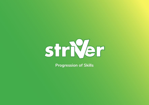

**Progression of Skills**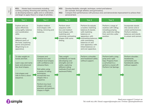**KS1**: Master basic movements including running, jumping, throwing and catching, as well as developing balance, agility and co-ordination, and begin to apply these in a range of activities.

**KS2**: Develop flexibility, strength, technique, control and balance [for example, through athletics and gymnastics].

| N.C<br>Objectives | <b>KSI:</b> Master basic movements including<br>running, jumping, throwing and catching, as well<br>as developing balance, agility and co-ordination,<br>and begin to apply these in a range of activities.                 |                                                                                                                                                                                                                                                                                                     | KSZ:<br>Develop flexibility, strength, technique, control and balance<br>[for example, through athletics and gymnastics].<br><b>KS2:</b><br>Compare their performances with previous ones and demonstrate improvement to achieve their<br>personal best. |                                                                                                                                                                                                                                                         |                                                                                                                                     |                                                                                                                                       |
|-------------------|-----------------------------------------------------------------------------------------------------------------------------------------------------------------------------------------------------------------------------|-----------------------------------------------------------------------------------------------------------------------------------------------------------------------------------------------------------------------------------------------------------------------------------------------------|----------------------------------------------------------------------------------------------------------------------------------------------------------------------------------------------------------------------------------------------------------|---------------------------------------------------------------------------------------------------------------------------------------------------------------------------------------------------------------------------------------------------------|-------------------------------------------------------------------------------------------------------------------------------------|---------------------------------------------------------------------------------------------------------------------------------------|
| <b>Aspect</b>     | Year 1                                                                                                                                                                                                                      | Year 2                                                                                                                                                                                                                                                                                              | Year <sub>3</sub>                                                                                                                                                                                                                                        | Year 4                                                                                                                                                                                                                                                  | Year 5                                                                                                                              | Year 6                                                                                                                                |
|                   | Explore and use<br>space effectively<br>using agility, balance<br>and coordination<br>skills.<br><b>Balance using</b><br>different parts of<br>the body, exploring<br>points and patches<br>(Beginning to on<br>apparatus). | Explore medium<br>level shapes with<br>linking, mirroring and<br>balances.                                                                                                                                                                                                                          | Perform short<br>sequence with:<br>low and medium<br>level shapes; with<br>matching and<br>mirroring; contrasting<br>shapes with some<br>linking.                                                                                                        | Perform & evaluate<br>a routine: matching<br>balances & stands;<br>with matching<br>balances on<br>apparatus; with<br>contrasting balances;<br>with contrasting<br>balances on and<br>over apparatus; with<br>linked balances on<br>and over apparatus. | Perform a range of<br>routines with rolling;<br>including jumping<br>rolls, build into rolling<br>from and into a pike<br>position. | Incorporate stands<br>into cannon and or<br>unison performances.<br>Perform rotation,<br>balances and stands<br>in unison and cannon. |
| Gymnastics        | To take weight on<br>hands and feet.<br>Learn copy and name<br>basic and advanced<br>low-level shapes.<br>Link shapes and<br>rolls to form a short<br>sequence.                                                             | Compare and<br>contrast low and<br>medium level shapes<br>with confidence and<br>rehearse them.<br>Roll safely using<br>a variety of rolling<br>techniques.<br>Incorporate two<br>shapes into a<br>sequence.<br>Perform low level<br>shapes with some<br>precision and perform<br>shapes in flight. | Take weight<br>confidently on hands<br>(developing core<br>strength) and roll<br>safely, exploring<br>different rolling<br>methods (Front and<br>backward Rolls).                                                                                        | Perform a shoulder<br>and headstand safely<br>without support.                                                                                                                                                                                          | Perform both a stag<br>jump and a split<br>leap. Progress from<br>a cartwheel to a<br>perform a round-off.<br>Perform Cat Springs.  | Perform shoulder,<br>headstands,<br>cartwheels and<br>handstands safely<br>without support.                                           |

# **2** simple

Need more support? Contact us: Tel: 0208 203 1781 | Email: support@2simple.com | Twitter: @2simplesoftware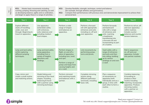**KS1:** Master basic movements including running, jumping, throwing and catching, as well as developing balance, agility and co-ordination, and begin to apply these in a range of activities.

- **KS2:** Develop flexibility, strength, technique, control and balance [for example, through athletics and gymnastics].
- **KS2:** Compare their performances with previous ones and demonstrate improvement to achieve their personal best.

| N.C<br>Objectives | <b>KSI:</b> Master basic movements including<br>running, jumping, throwing and catching, as well<br>as developing balance, agility and co-ordination,<br>and begin to apply these in a range of activities. |                                                                                                                                        | KSZ:<br>Develop flexibility, strength, technique, control and balance<br>[for example, through athletics and gymnastics].<br>Compare their performances with previous ones and demonstrate improvement to achieve their<br><b>KS2:</b><br>personal best. |                                                                                                               |                                                                                                                                                                                                     |                                                                                                                                                                                     |
|-------------------|-------------------------------------------------------------------------------------------------------------------------------------------------------------------------------------------------------------|----------------------------------------------------------------------------------------------------------------------------------------|----------------------------------------------------------------------------------------------------------------------------------------------------------------------------------------------------------------------------------------------------------|---------------------------------------------------------------------------------------------------------------|-----------------------------------------------------------------------------------------------------------------------------------------------------------------------------------------------------|-------------------------------------------------------------------------------------------------------------------------------------------------------------------------------------|
| <b>Aspect</b>     | Year 1                                                                                                                                                                                                      | Year <sub>2</sub>                                                                                                                      | Year <sub>3</sub>                                                                                                                                                                                                                                        | Year 4                                                                                                        | Year 5                                                                                                                                                                                              | Year <sub>6</sub>                                                                                                                                                                   |
|                   | Explore different<br>styles of travelling:<br>under, over and<br>through. Beginning to<br>travel on apparatus.                                                                                              | Use apparatus<br>(extended) safely<br>with entrances,<br>exits, balances and<br>including medium<br>level shapes.                      | Perform a wide<br>range of shapes<br>and balances on<br>apparatus.                                                                                                                                                                                       | Perform a forward<br>roll with appropriate<br>entrances and exits<br>including on, off and<br>over apparatus. | Perform forwards<br>and backward<br>rolls with a range<br>of entrances and<br>exits. Learning<br>a headstand,<br>transitioning into<br>a forward roll and<br>incorporating as part<br>of a routine. | Perform to roll on, off<br>and over apparatus<br>within routines.<br>Include counter-<br>balances and counter<br>tension balances.                                                  |
| Gymnastics        | Jump and land safely,<br>whilst exploring<br>different jumping<br>techniques.                                                                                                                               | Jump and land safely<br>using apparatus,<br>including from a<br>variety of heights,<br>directions and<br>landings.                     | Perform shapes in<br>flight, on and off a<br>piece of apparatus,<br>including turn, twist<br>and spin.<br>Perform a range of<br>jumps and leaps from<br>varying heights and<br>on a vault.                                                               | Link movements by<br>performing jumps,<br>turns and pivots.                                                   | Vault safely with a<br>range of entrances<br>and exits and then<br>into rolling, building<br>up to various<br>landings on and over<br>a vault.                                                      | Roll in sequences<br>on, off and over<br>apparatus. Include<br>into partner routines.                                                                                               |
|                   | Copy, mirror and<br>create a small routine<br>and matching actions.                                                                                                                                         | Model linking and<br>mirroring of low-level<br>shapes. Including<br>balancing & travel<br>with a partner using<br>mirroring technique. | Perform mirrored<br>and matching travels<br>and balances with a<br>partner.                                                                                                                                                                              | Complete mirroring<br>actions along<br>different pathways<br>and levels, including<br>basic rolls.            | Plan a sequence<br>of movements on<br>apparatus both<br>individually and as a<br>group, in time with<br>each other to form a<br>routine.                                                            | Combine balancing<br>& travelling to<br>produce a floor<br>routine including<br>matching. Incorporate<br>apparatus. Produce<br>mirroring routine<br>with a partner on<br>apparatus. |

# 2 simple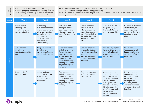**KS1:** Master basic movements including running, jumping, throwing and catching, as well as developing balance, agility and co-ordination, and begin to apply these in a range of activities.

### **KS2:** Develop flexibility, strength, technique, control and balance [for example, through athletics and gymnastics].

| N.C<br>Objectives | <b>KSI:</b> Master basic movements including<br>running, jumping, throwing and catching, as well<br>as developing balance, agility and co-ordination,<br>and begin to apply these in a range of activities. |                                                                                                                                                                                    | KSZ:<br><b>KS2:</b><br>personal best.                                                                                                                                                                      | Develop flexibility, strength, technique, control and balance<br>[for example, through athletics and gymnastics].                                         | Compare their performances with previous ones and demonstrate improvement to achieve their                                                                                                                                                                           |                                                                                                                                                                                |
|-------------------|-------------------------------------------------------------------------------------------------------------------------------------------------------------------------------------------------------------|------------------------------------------------------------------------------------------------------------------------------------------------------------------------------------|------------------------------------------------------------------------------------------------------------------------------------------------------------------------------------------------------------|-----------------------------------------------------------------------------------------------------------------------------------------------------------|----------------------------------------------------------------------------------------------------------------------------------------------------------------------------------------------------------------------------------------------------------------------|--------------------------------------------------------------------------------------------------------------------------------------------------------------------------------|
| Aspect            | Year 1                                                                                                                                                                                                      | Year 2                                                                                                                                                                             | Year <sub>3</sub>                                                                                                                                                                                          | Year 4                                                                                                                                                    | Year 5                                                                                                                                                                                                                                                               | Year <sub>6</sub>                                                                                                                                                              |
|                   | Run fast from a<br>standing start<br>developing speed<br>and coordination.                                                                                                                                  | Developing<br>awareness of speed<br>when running a short<br>distance, including<br>control and fluency<br>in movements;<br>understanding how<br>their body reacts<br>when running. | Run a relay and<br>change over the<br>baton appropriately<br>- including passing a<br>baton from standing<br>start.                                                                                        | Communicate as<br>a team to make<br>relay changeovers.<br>Improving running<br>technique including<br>the sprint finish and<br>maintaining sprint<br>pace | To run relays, running<br>in a given zone,<br>changing baton over<br>with increased skill.                                                                                                                                                                           | Compete in a variety<br>of athletics type<br>races; adjusting<br>running styles from<br>sprinting to long<br>distance.                                                         |
| <b>Athletics</b>  | Jump and throw,<br>developing<br>coordination, agility<br>and rhythm.                                                                                                                                       | Jump for distance.<br>Developing<br>awareness of space,<br>height and distance.                                                                                                    | Jump for distance<br>including jumping<br>from a standing<br>start. Developing<br>skills to jump further<br>distances. *Learn<br>basics of hurdling,<br>keeping head same<br>height throughout<br>jumping. | Can challenge self<br>to jump for distance<br>including measuring<br>performance.<br>Jumping for height<br>including high over<br>obstacles.              | Develop jumping for<br>distance (triple jump);<br>jumping in different<br>ways and competing<br>competitively.                                                                                                                                                       | Use correct<br>techniques for all<br>jumps, challenging<br>self to jump further<br>distances.                                                                                  |
|                   | Run and kick for<br>accuracy and speed.                                                                                                                                                                     | Adjust and make<br>changes to running<br>speed when<br>completing different<br>distances.                                                                                          | Run for speed,<br>including over longer<br>distances. *Learn<br>basics of hurdling,<br>keeping head same<br>height throughout<br>jumping.                                                                  | Sprinting, challenge<br>self and recording<br>performance.                                                                                                | Develop running<br>for speed including<br>sprint from a start<br>finish and sprinting<br>further distance<br>over a given time.<br>Developing hurdling<br>skills, including the<br>role of the lead and<br>trail leg; applying<br>skill to competitive<br>situation. | Run with greater<br>fluency & speed,<br>including hurdling;<br>using the correct<br>stride pattern.<br>Can analyse the<br>changes in speeds<br>when sprinting and<br>hurdling. |

# **2** simple

Need more support? Contact us: Tel: 0208 203 1781 | Email: support@2simple.com | Twitter: @2simplesoftware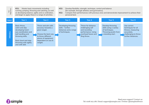**KS1:** Master basic movements including running, jumping, throwing and catching, as well as developing balance, agility and co-ordination, and begin to apply these in a range of activities.

- **KS2:** Develop flexibility, strength, technique, control and balance [for example, through athletics and gymnastics].
- **KS2:** Compare their performances with previous ones and demonstrate improvement to achieve their personal best.

| N.C<br>Objectives | <b>KSI:</b> Master basic movements including                                                                                                                                           | running, jumping, throwing and catching, as well<br>as developing balance, agility and co-ordination,<br>and begin to apply these in a range of activities.     | KSZ:<br>Develop flexibility, strength, technique, control and balance<br>[for example, through athletics and gymnastics].<br>Compare their performances with previous ones and demonstrate improvement to achieve their<br><b>KS2:</b><br>personal best. |                                                                                                                     |                                                                                                            |                                                                                                                     |
|-------------------|----------------------------------------------------------------------------------------------------------------------------------------------------------------------------------------|-----------------------------------------------------------------------------------------------------------------------------------------------------------------|----------------------------------------------------------------------------------------------------------------------------------------------------------------------------------------------------------------------------------------------------------|---------------------------------------------------------------------------------------------------------------------|------------------------------------------------------------------------------------------------------------|---------------------------------------------------------------------------------------------------------------------|
| <b>Aspect</b>     | Year 1                                                                                                                                                                                 | Year 2                                                                                                                                                          | Year <sub>3</sub>                                                                                                                                                                                                                                        | Year 4                                                                                                              | Year 5                                                                                                     | Year 6                                                                                                              |
| °3<br>thleti      | Basic throw,<br>catch and skip<br>developing hand-<br>eye coordination and<br>ball handling and<br>throwing skills.<br>Basic bowl and step<br>throwing with agility<br>and with skill. | Throw and aim with<br>accuracy towards a<br>given target.<br>Choose the best way<br>to throw different<br>pieces of equipment<br>dependent on size &<br>weight. | Developing throwing<br>skills – further<br>distances and a range<br>of techniques.                                                                                                                                                                       | Throw for distance<br>challenging self<br>and recording<br>performance. Using<br>overhead heave and<br>fling throw. | Develop throwing<br>skills using a variety<br>of techniques.<br>Throwing javelin from<br>a standing start. | Use correct<br>techniques for all<br>throws, measuring<br>accurately,<br>challenging to throw<br>further distances. |

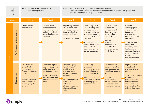|       | N.C<br>Objectives             | <b>KS1:</b><br>movement patterns.                                                                                                                        | Perform dances using simple                                                                                                                                             | Perform dances using a range of movement patterns.<br><b>KS2:</b><br>These skills are fluid and may commence later or earlier in specific year groups and<br>possibly cross them contingent of outcomes.     |                                                                                                                                                                                                                                                     |                                                                                                                                                                                                                 |                                                                                                                                                                                                                                                                    |
|-------|-------------------------------|----------------------------------------------------------------------------------------------------------------------------------------------------------|-------------------------------------------------------------------------------------------------------------------------------------------------------------------------|--------------------------------------------------------------------------------------------------------------------------------------------------------------------------------------------------------------|-----------------------------------------------------------------------------------------------------------------------------------------------------------------------------------------------------------------------------------------------------|-----------------------------------------------------------------------------------------------------------------------------------------------------------------------------------------------------------------|--------------------------------------------------------------------------------------------------------------------------------------------------------------------------------------------------------------------------------------------------------------------|
|       | Aspect                        | Year 1                                                                                                                                                   | Year 2                                                                                                                                                                  | Year <sub>3</sub>                                                                                                                                                                                            | Year 4                                                                                                                                                                                                                                              | Year 5                                                                                                                                                                                                          | Year 6                                                                                                                                                                                                                                                             |
| Dance | Performanace and appreciation | Create a class<br>performance.                                                                                                                           | Create a class<br>performance and<br>observe others work<br>and give feedback<br>using simple dance<br>vocabulary.                                                      | <b>Organising sections</b><br>of dances to create<br>one piece, working<br>in sync with other<br>group members.<br>Assess others' work.                                                                      | Developing dance<br>when creating one<br>piece, performing<br>in unison and sync<br>with other group<br>members in front of<br>the class.<br>Self- assess and<br>assess peers' work,<br>and give feedback<br>using appropriate<br>dance vocabulary. | Learn, rehearse<br>and perform<br>choreographed<br>dance phrases<br>of increasing<br>complexity.<br>Self-assess and<br>assess others'<br>work and give<br>critical feedback<br>using appropriate<br>vocabulary. | Perform<br>choreographed<br>dance narrative,<br>improving<br>movements.<br>developing timing<br>and spacing.<br>Asses self and<br>others with<br>increasing critical<br>feedback and<br>suggested actions<br>for improvement<br>using apt and<br>precise language. |
|       | Choreography                  | Select and use<br>a variety of<br>movements to<br>form a short dance<br>phrase.<br>Perform a variety<br>of movements to<br>form a group dance<br>phrase. | Select and explore<br>an air pattern, jump<br>and shape to form a<br>short dance phrase.<br>Work as a group to<br>recall choreography,<br>rehearse and refine<br>ideas. | Work as a group<br>to select learnt<br>positions and<br>movements to<br>create short dance<br>phrases.<br>Use choreographic<br>devices to<br>enhance dance<br>phrases, including<br>choregraphing a<br>solo. | Developing<br>synchronisation<br>when working in a<br>group including to<br>different rhythms.<br><b>Respond to teacher</b><br>instruction to create<br>a choreographed<br>dance routine.                                                           | Create versatile<br>movements within<br>a dance sequence<br>including a range of<br>directions.<br>Choreograph<br>a sequence of<br>movements that use<br>contact between<br>two or more people.                 | <b>Explore and link</b><br>a number of<br>movements and<br>patters.<br>*Use choreographed<br>movements and<br>patterns to tell a<br>narrative; adapt<br>movements in a<br>more creative style;<br>utilise a floor plan.                                            |

# <sup>2</sup>simple

Need more support? Contact us: Tel: 0208 203 1781 | Email: support@2simple.com | Twitter: @2simplesoftware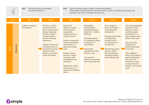|       | N.C<br>Objectives | KS1:<br>movement patterns.       | Perform dances using simple                                                                                                                                                                                                                                                                        | <b>KS2:</b>                                                                                                                                                                                                                                                                                                                                                                     | Perform dances using a range of movement patterns.<br>possibly cross them contingent of outcomes.                                                                                                                                                                                               | These skills are fluid and may commence later or earlier in specific year groups and                                                                                                                                                                                          |                                                                                                                                                                                                                                                                                                                                                                                 |  |
|-------|-------------------|----------------------------------|----------------------------------------------------------------------------------------------------------------------------------------------------------------------------------------------------------------------------------------------------------------------------------------------------|---------------------------------------------------------------------------------------------------------------------------------------------------------------------------------------------------------------------------------------------------------------------------------------------------------------------------------------------------------------------------------|-------------------------------------------------------------------------------------------------------------------------------------------------------------------------------------------------------------------------------------------------------------------------------------------------|-------------------------------------------------------------------------------------------------------------------------------------------------------------------------------------------------------------------------------------------------------------------------------|---------------------------------------------------------------------------------------------------------------------------------------------------------------------------------------------------------------------------------------------------------------------------------------------------------------------------------------------------------------------------------|--|
|       | Aspect            | Year 1                           | Year 2                                                                                                                                                                                                                                                                                             | Year 3                                                                                                                                                                                                                                                                                                                                                                          | Year 4                                                                                                                                                                                                                                                                                          | Year 5                                                                                                                                                                                                                                                                        | Year 6                                                                                                                                                                                                                                                                                                                                                                          |  |
| Dance | Movement          | Explore a range of<br>movements. | Perform a variety<br>of movements to<br>form a group dance<br>phrase; exploring<br>turning, rotation,<br>circular shapes/<br>dynamic through<br>movement.<br><b>Explore movements</b><br>considering size of<br>movements, tempo,<br>dynamics, floor<br>pattern, air pattern,<br>levels and shape. | Select and<br>explore a variety<br>of movements,<br>responding<br>imaginatively to a<br>range of stimuli.<br>Perform movement<br>actions individually,<br>with partners, a<br>group and whole<br>class.<br>Explore, repeat<br>and link a range<br>of actions with<br>coordination and<br>memorise.<br>Respond to a beat,<br>using music as a<br>stimulus to influence<br>dance. | Developing<br>choreographic<br>skill incorporating<br>more free - creative<br>thinking.<br>Developing good<br>co-ordination within<br>a sequence of<br>movements.<br><b>Movements</b><br>articulate the style<br>of dance well.<br>Use music to<br>influence movement<br>with increasing skill. | Use a range of<br>dance techniques<br>to develop their<br>movements.<br>Develop movements<br>to incorporate<br>at least one lift<br>in a sequence of<br>movements.<br>Identify floor plans<br>and use within<br>their movements,<br>including starting<br>and finishing area. | *Use choreographed<br>movements and<br>patterns to tell a<br>narrative; adapt<br>movements in a<br>more creative style;<br>utilise a floor plan.<br>Use gymnastic<br>equipment to<br>create improvised<br>movement.<br>Allow different<br>parts of the body to<br>lead and influence<br>the rest of the<br>movement; using<br>a range of levels<br>tempos, and contact<br>work. |  |

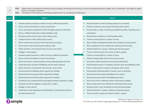- **KS1:** Master basic movements including running, jumping, throwing and catching, as well as developing balance, agility and co-ordination, and begin to apply these in a range of activities.
- **KS1:** Participate in team games, developing simple tactics for attacking and defending.

### **Aspect**

### **Year 1 Year 2**

- Develop spatial awareness whilst moving in different directions.
- Show control and balance in basic movements.
- Carry and balance equipment whilst changing speed and direction
- Move in different directions whilst handling a ball.
- Develop control and accuracy when rolling a ball.
- Underarm throw with control and accuracy.
- Show control and accuracy when throwing and aiming.
- Gain rhythm when throwing and striking a ball.
- Strike and kick a moving ball with accuracy and control.
- Engage in team games.
- Develop spatial awareness whilst moving in different directions.
- Show control and balance in basic movements.
- Send and receive a bouncing ball whist positioning body correctly.
- Understand the concept of dribbling and the skills required.
- Strike and kick a moving ball with accuracy and control.
- Demonstrate the dribbling skills required for football.
- Demonstrate the passing skills required for football.
- Demonstrate the shooting skills required for football.
- Familiarise and understand the passing/movements required in rugby.
- Develop the skill of tagging an opponent in rugby.
- Engage in team games.
- Understand what attacking and defending is using simple practices and demonstrate this.

- Maintain balance whilst reacting quickly to commands.
- Perform underarm and overarm throwing with control.
- Demonstrate a range of striking and gathering skills, including into a small game.
- Demonstrate confidence in ball handling skills.
- Control a moving ball in a variety of ways.
- Show rolling and gathering skills with confidence and precision.
- Show progression from rolling into catching and throwing.
- Attack & defend in a game, making and denying space.
- Throw & catch to pass and receive a ball in a game.
- Control a moving ball in a variety of ways.
- Perform kicking skills with control and accuracy.
- Use space whilst passing and receiving a kicked ball.
- Understand the basics of holding a hockey stick and dribbling a ball.
- Pass a hockey ball to a partner and group with control.
- Demonstrate attacking skills in hockey such as shooting.
- Demonstrate bouncing a basketball with control.
- Develop bouncing skills into dribbling activities.
- Move away from a defender whilst continuing to dribble
- Show progression from rolling into catching and throwing.
- Develop tactics when shooting at and protecting targets.
- Attack & defend in a game, making and denying space.
- Throw & catch to pass and receive a ball in a game.

Need more support? Contact us: Tel: 0208 203 1781 | Email: support@2simple.com | Twitter: @2simplesoftware

# CNN and the model of the second contract of the second of the second contract of the second contract of the second contract of the second contract of the second contract of the second contract of the second contract of th Games

## $\frac{C}{Z}$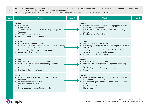- **KS2:** Play competitive games, modified where appropriate [for example, badminton, basketball, cricket, football, hockey, netball, rounders and tennis], and apply basic principles suitable for attacking and defending
- **KS2:** Compare their performances with previous ones and demonstrate improvement to achieve their personal best.

| $\frac{C}{Z}$ | apply basic principles suitable for attacking and defending<br><b>KS2:</b><br>Compare their performances with previous ones and demonstrate improvement to achieve their personal best.                                                                                          |        |                                                                                                                                                                                                                                                                          |        |  |  |  |
|---------------|----------------------------------------------------------------------------------------------------------------------------------------------------------------------------------------------------------------------------------------------------------------------------------|--------|--------------------------------------------------------------------------------------------------------------------------------------------------------------------------------------------------------------------------------------------------------------------------|--------|--|--|--|
| Aspect        | Year <sub>3</sub>                                                                                                                                                                                                                                                                | Year 4 | Year <sub>5</sub>                                                                                                                                                                                                                                                        | Year 6 |  |  |  |
|               | <b>Cricket</b><br>Bat correctly.<br>Catch correctly.<br>Accurately bowl under and overarm using appropriate<br>technique.<br>Use different batting shots.<br>$\bullet$<br>Field using appropriate techniques.                                                                    |        | <b>Cricket</b><br>Developed over and underarm bowling applied to game.<br>Improving accuracy of batting.<br>Developing deep field catching - catching ball at varying<br>heights.<br>Developing the lofted drive.                                                        |        |  |  |  |
| Games         | Football<br>Control the ball, dribble and turn.<br>Pass the ball accurately and control the ball when receiving<br>$\bullet$<br>a pass including whilst on the move.<br>Shoot and play the position of a goalkeeper.<br>$\bullet$<br>Apply learnt skills in a game.<br>$\bullet$ |        | Football<br>Control the ball, keeping it close.<br>Developing passing skills including developed use of inside<br>of the foot.<br>Able to perform block tackle and mark effectively.<br>Turn and shoot at speed and with accuracy.<br>Application of skills within game. |        |  |  |  |
|               | Hockey<br>Hold the stick and dribble under pressure.<br>Pass and receive the ball with improving accuracy.<br>$\bullet$<br>Tackle correctly.<br>$\bullet$<br>Shoot with accuracy.<br>Play hockey in a game situation.                                                            |        | Hockey<br>Use correct technique dribbling.<br>Pass & receive - using space; appropriate skills to keep<br>possession.<br>Shoot with power and developed accuracy.<br>Tackle and mark.                                                                                    |        |  |  |  |
|               | <b>Netball</b><br>Pass and catch a netball including via bounce and<br>overhead.<br>Demonstrate correct footwork.<br>$\bullet$<br>Effectively dodge and mark.<br>$\bullet$<br>Shoot a netball.<br>$\bullet$<br>Demonstrate some understanding of rules.                          |        | <b>Netball</b><br>Pass, Pivot pass, shoot & throw with accuracy, including<br>chest, bounce and overhead.<br>Use tactics for game dominance, building on dodge and<br>marking.<br>Develop footwork.<br>Play to rules.                                                    |        |  |  |  |

<sup>2</sup>simple

 $\frac{C}{Z}$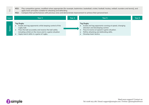- **KS2:** Play competitive games, modified where appropriate [for example, badminton, basketball, cricket, football, hockey, netball, rounders and tennis], and apply basic principles suitable for attacking and defending
- **KS2:** Compare their performances with previous ones and demonstrate improvement to achieve their personal best.

|        | apply basic principles suitable for attacking and defending<br>Compare their performances with previous ones and demonstrate improvement to achieve their personal best.<br><b>KS2:</b>                                                            |        |                                                                                                                                                                                                                              |                   |
|--------|----------------------------------------------------------------------------------------------------------------------------------------------------------------------------------------------------------------------------------------------------|--------|------------------------------------------------------------------------------------------------------------------------------------------------------------------------------------------------------------------------------|-------------------|
| Aspect | Year <sub>3</sub>                                                                                                                                                                                                                                  | Year 4 | Year <sub>5</sub>                                                                                                                                                                                                            | Year <sub>6</sub> |
| Game   | <b>Tag Rugby</b><br>Evade and tag opponents while keeping control of the<br>rugby ball.<br>Pass the ball accurately and receive the ball safely<br>including whilst on the move and in a game situation<br>Apply learnt skills in a game of rugby. |        | <b>Tag Rugby</b><br>Evade and tag opponents running at speed, changing<br>direction and developing control.<br>Pass & receive at speed in game situation.<br>Refine attacking and defending skills.<br>Develop team tactics. |                   |

**2** simple

 $\frac{C}{Z}$